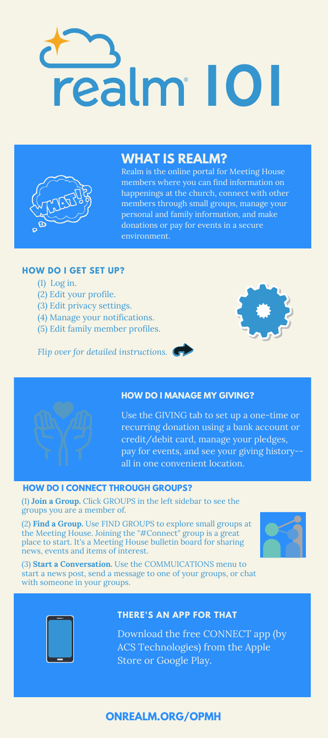# realm 10



# **WHAT IS REALM?**

Realm is the online portal for Meeting House happenings at the church, connect with other members through small groups, manage your personal and family information, and make donations or pay for events in a secure environment.

## **HOW DO I GET SET UP?**

- (1) Log in.
- (2) Edit your profile.
- (3) Edit privacy settings.
- (4) Manage your notifications.
- (5) Edit family member profiles.

*Flip over for detailed instructions.*





## **HOW DO I MANAGE MY GIVING?**

Use the GIVING tab to set up a one-time or recurring donation using a bank account or credit/debit card, manage your pledges, pay for events, and see your giving history- all in one convenient location.

## **HOW DO I CONNECT THROUGH GROUPS?**

(1) **Join a Group.** Click GROUPS in the left sidebar to see the groups you are a member of.

(2) **Find a Group.** Use FIND GROUPS to explore small groups at the Meeting House. Joining the "#Connect" group is a great place to start. It's a Meeting House bulletin board for sharing news, events and items of interest.



(3) **Start a Conversation.** Use the COMMUICATIONS menu to start a news post, send a message to one of your groups, or chat with someone in your groups.



## **THERE'S AN APP FOR THAT**

Download the free CONNECT app (by ACS Technologies) from the Apple Store or Google Play.

## **ONREALM.ORG/OPMH**